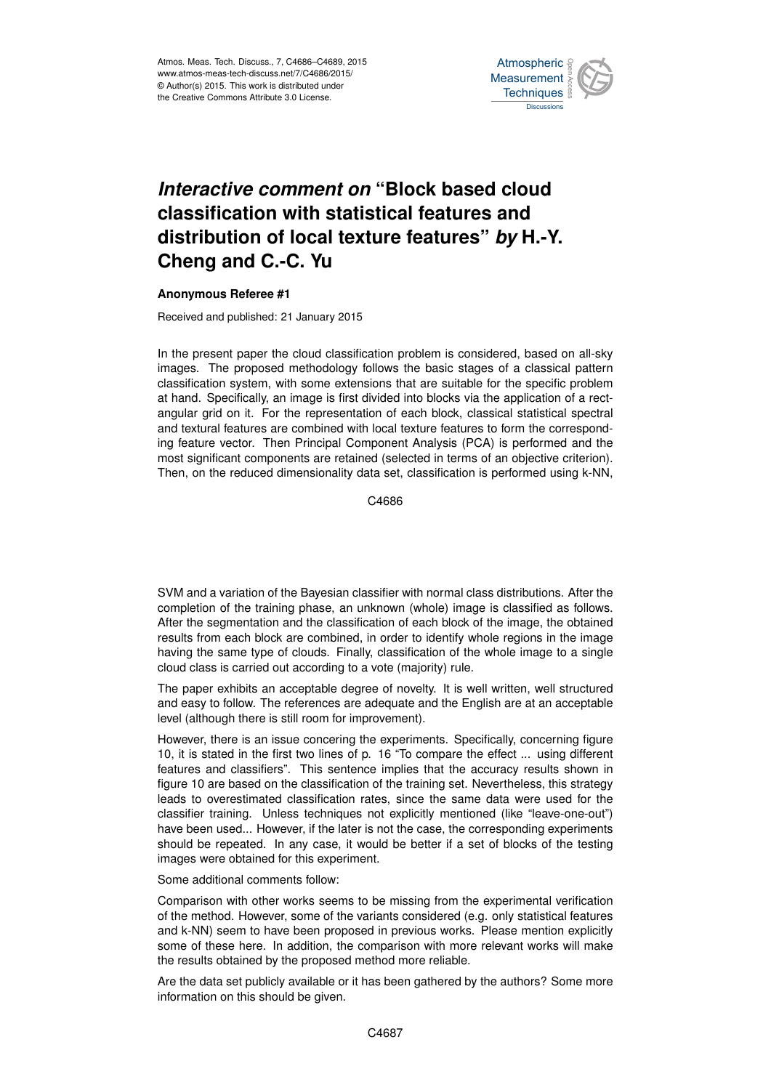

## *Interactive comment on* **"Block based cloud classification with statistical features and distribution of local texture features"** *by* **H.-Y. Cheng and C.-C. Yu**

## **Anonymous Referee #1**

Received and published: 21 January 2015

In the present paper the cloud classification problem is considered, based on all-sky images. The proposed methodology follows the basic stages of a classical pattern classification system, with some extensions that are suitable for the specific problem at hand. Specifically, an image is first divided into blocks via the application of a rectangular grid on it. For the representation of each block, classical statistical spectral and textural features are combined with local texture features to form the corresponding feature vector. Then Principal Component Analysis (PCA) is performed and the most significant components are retained (selected in terms of an objective criterion). Then, on the reduced dimensionality data set, classification is performed using k-NN,

C4686

SVM and a variation of the Bayesian classifier with normal class distributions. After the completion of the training phase, an unknown (whole) image is classified as follows. After the segmentation and the classification of each block of the image, the obtained results from each block are combined, in order to identify whole regions in the image having the same type of clouds. Finally, classification of the whole image to a single cloud class is carried out according to a vote (majority) rule.

The paper exhibits an acceptable degree of novelty. It is well written, well structured and easy to follow. The references are adequate and the English are at an acceptable level (although there is still room for improvement).

However, there is an issue concering the experiments. Specifically, concerning figure 10, it is stated in the first two lines of p. 16 "To compare the effect ... using different features and classifiers". This sentence implies that the accuracy results shown in figure 10 are based on the classification of the training set. Nevertheless, this strategy leads to overestimated classification rates, since the same data were used for the classifier training. Unless techniques not explicitly mentioned (like "leave-one-out") have been used... However, if the later is not the case, the corresponding experiments should be repeated. In any case, it would be better if a set of blocks of the testing images were obtained for this experiment.

Some additional comments follow:

Comparison with other works seems to be missing from the experimental verification of the method. However, some of the variants considered (e.g. only statistical features and k-NN) seem to have been proposed in previous works. Please mention explicitly some of these here. In addition, the comparison with more relevant works will make the results obtained by the proposed method more reliable.

Are the data set publicly available or it has been gathered by the authors? Some more information on this should be given.